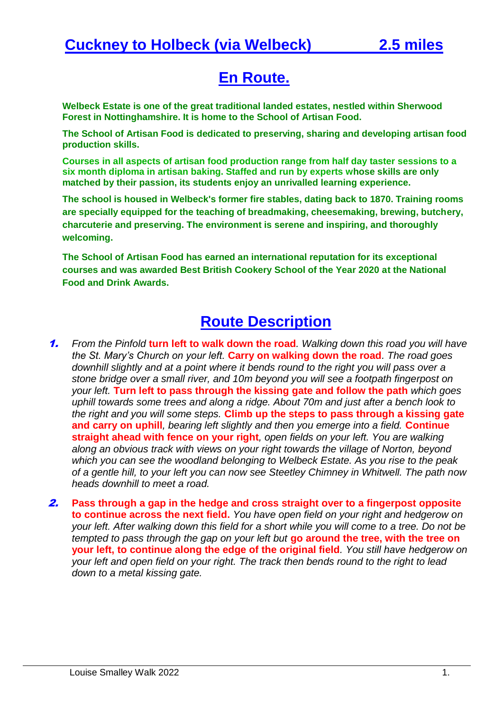## **En Route.**

**Welbeck Estate is one of the great traditional landed estates, nestled within Sherwood Forest in Nottinghamshire. It is home to the School of Artisan Food.**

**The School of Artisan Food is dedicated to preserving, sharing and developing artisan food production skills.**

**Courses in all aspects of artisan food production range from half day taster sessions to a six month diploma in artisan baking. Staffed and run by experts whose skills are only matched by their passion, its students enjoy an unrivalled learning experience.**

**The school is housed in Welbeck's former fire stables, dating back to 1870. Training rooms are specially equipped for the teaching of breadmaking, cheesemaking, brewing, butchery, charcuterie and preserving. The environment is serene and inspiring, and thoroughly welcoming.**

**The School of Artisan Food has earned an international reputation for its exceptional courses and was awarded Best British Cookery School of the Year 2020 at the National Food and Drink Awards.**

## **Route Description**

- 1. *From the Pinfold* **turn left to walk down the road***. Walking down this road you will have the St. Mary's Church on your left.* **Carry on walking down the road***. The road goes downhill slightly and at a point where it bends round to the right you will pass over a stone bridge over a small river, and 10m beyond you will see a footpath fingerpost on your left.* **Turn left to pass through the kissing gate and follow the path** *which goes uphill towards some trees and along a ridge. About 70m and just after a bench look to the right and you will some steps.* **Climb up the steps to pass through a kissing gate and carry on uphill***, bearing left slightly and then you emerge into a field.* **Continue straight ahead with fence on your right***, open fields on your left. You are walking along an obvious track with views on your right towards the village of Norton, beyond which you can see the woodland belonging to Welbeck Estate. As you rise to the peak of a gentle hill, to your left you can now see Steetley Chimney in Whitwell. The path now heads downhill to meet a road.*
- 2. **Pass through a gap in the hedge and cross straight over to a fingerpost opposite to continue across the next field.** *You have open field on your right and hedgerow on your left. After walking down this field for a short while you will come to a tree. Do not be tempted to pass through the gap on your left but* **go around the tree, with the tree on your left, to continue along the edge of the original field***. You still have hedgerow on your left and open field on your right. The track then bends round to the right to lead down to a metal kissing gate.*